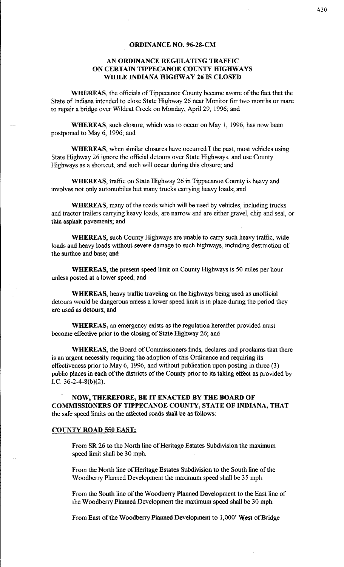#### **ORDINANCE NO. 96-28-CM**

# **AN ORDINANCE REGULATING TRAFFIC ON CERTAIN TIPPECANOE COUNTY HIGHWAYS WHILE INDIANA HIGHWAY 26 IS CLOSED**

**WHEREAS,** the officials of Tippecanoe County became aware of the fact that the State of Indiana intended to close State Highway 26 near Monitor for two months or mare to repair a bridge over Wildcat Creek on Monday, April 29, 1996; and

**WHEREAS,** such closure, which was to occur on May 1, 1996, has now been postponed to May 6, 1996; and

**WHEREAS,** when similar closures have occurred I the past, most vehicles using State Highway 26 ignore the official detours over State Highways, and use County Highways as a shortcut, and such will occur during this closure; and

**WHEREAS,** traffic on State Highway 26 in Tippecanoe County is heavy and involves not only automobiles but many trucks carrying heavy loads; and

**WHEREAS,** many of the roads which will be used by vehicles, including trucks and tractor trailers carrying heavy loads, are narrow and are either gravel, chip and seal, or thin asphalt pavements; and

**WHEREAS,** such County Highways are unable to carry such heavy traffic, wide loads and heavy loads without severe damage to such highways, including destruction of the surface and base; and

**WHEREAS,** the present speed limit on County Highways is 50 miles per hour unless posted at a lower speed; and

**WHEREAS,** heavy traffic traveling on the highways being used as unofficial detours would be dangerous unless a lower speed limit is in place during the period they are used as detours; and

**WHEREAS,** an emergency exists as the regulation hereafter provided must become effective prior to the closing of State Highway 26; and

**WHEREAS,** the Board of Commissioners finds, declares and proclaims that there is an urgent necessity requiring the adoption of this Ordinance and requiring its effectiveness prior to May 6, 1996, and without publication upon posting in three (3) public places in each of the districts of the County prior to its taking effect as provided by I.C. 36-2-4-8(b)(2).

**NOW, THEREFORE, BE IT ENACTED BY THE BOARD OF COMMISSIONERS OF TIPPECANOE COUNTY, STATE OF INDIANA, THAT**  the safe speed limits on the affected roads shall be as follows:

#### **COUNTY ROAD 550 EAST:**

From SR 26 to the North line of Heritage Estates Subdivision the maximum speed limit shall be 30 mph.

From the North line of Heritage Estates Subdivision to the South line of the Woodberry Planned Development the maximum speed shall be 35 mph.

From the South line of the Woodberry Planned Development to the East line of the Woodberry Planned Development the maximum speed shall be 30 mph.

From East of the Woodberry Planned Development to 1,000' West of Bridge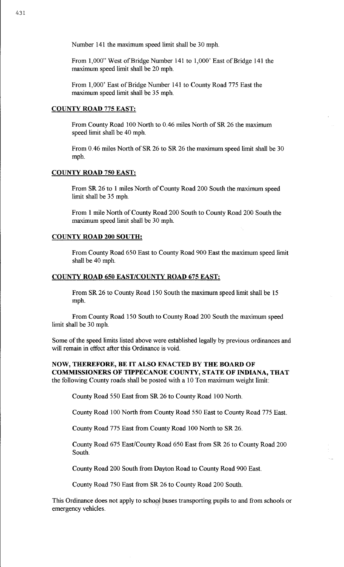Number 141 the maximum speed limit shall be 30 mph.

From 1,000" West of Bridge Number 141 to 1,000' East of Bridge 141 the maximum speed limit shall be 20 mph.

From 1,000' East of Bridge Number 141 to County Road 775 East the maximum speed limit shall be 35 mph.

# COUNTY ROAD 775 EAST:

From County Road 100 North to 0.46 miles North of SR 26 the maximum speed limit shall be 40 mph.

From 0. 46 miles North of SR 26 to SR 26 the maximum speed limit shall be 30 mph.

### COUNTY ROAD 750 EAST:

From SR 26 to I miles North of County Road 200 South the maximum speed limit shall be 35 mph.

From 1 mile North of County Road 200 South to County Road 200 South the maximum speed limit shall be 30 mph.

### COUNTY ROAD 200 SOUTH:

From County Road 650 East to County Road 900 East the maximum speed limit shall be 40 mph.

#### COUNTY ROAD 650 EAST/COUNTY ROAD 675 EAST:

From SR 26 to County Road 150 South the maximum speed limit shall be 15 mph.

From County Road 150 South to County Road 200 South the maximum speed limit shall be 30 mph.

Some of the speed limits listed above were established legally by previous ordinances and will remain in effect after this Ordinance is void.

NOW, THEREFORE, BE IT ALSO ENACTED BY THE BOARD OF COMMISSIONERS OF TIPPECANOE COUNTY, STATE OF INDIANA, THAT the following County roads shall be posted with a 10 Ton maximum weight limit:

County Road 550 East from SR 26 to County Road 100 North.

County Road 100 North from County Road 550 East to County Road 775 East.

County Road 775 East from County Road 100 North to SR 26.

County Road 675 East/County Road 650 East from SR 26 to County Road 200 South.

County Road 200 South from Dayton Road to County Road 900 East.

County Road 750 East from SR 26 to County Road 200 South.

This Ordinance does not apply to school buses transporting pupils to and from schools or emergency vehicles.